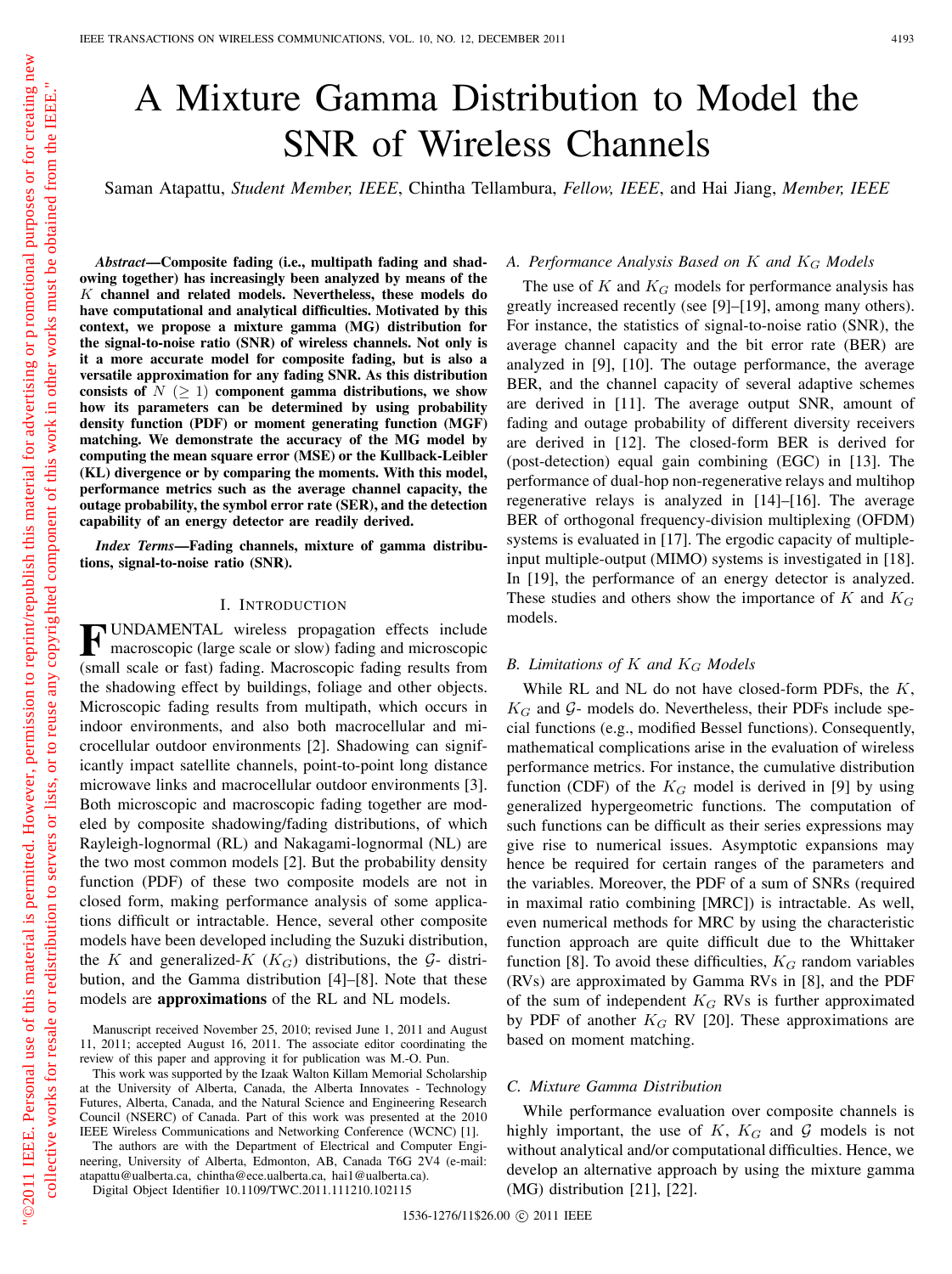# A Mixture Gamma Distribution to Model the SNR of Wireless Channels

Saman Atapattu, *Student Member, IEEE*, Chintha Tellambura, *Fellow, IEEE*, and Hai Jiang, *Member, IEEE*

*Abstract***—Composite fading (i.e., multipath fading and shadowing together) has increasingly been analyzed by means of the channel and related models. Nevertheless, these models do have computational and analytical difficulties. Motivated by this context, we propose a mixture gamma (MG) distribution for the signal-to-noise ratio (SNR) of wireless channels. Not only is it a more accurate model for composite fading, but is also a versatile approximation for any fading SNR. As this distribution consists of**  $N \geq 1$  **component gamma distributions, we show how its parameters can be determined by using probability density function (PDF) or moment generating function (MGF) matching. We demonstrate the accuracy of the MG model by computing the mean square error (MSE) or the Kullback-Leibler (KL) divergence or by comparing the moments. With this model, performance metrics such as the average channel capacity, the outage probability, the symbol error rate (SER), and the detection capability of an energy detector are readily derived.**

*Index Terms***—Fading channels, mixture of gamma distributions, signal-to-noise ratio (SNR).**

## I. INTRODUCTION

**F** UNDAMENTAL wireless propagation effects include macroscopic (large scale or slow) fading and microscopic (small scale or fast) fading. Macroscopic fading results from the shadowing effect by buildings, foliage and other objects. Microscopic fading results from multipath, which occurs in indoor environments, and also both macrocellular and microcellular outdoor environments [2]. Shadowing can significantly impact satellite channels, point-to-point long distance microwave links and macrocellular outdoor environments [3]. Both microscopic and macroscopic fading together are modeled by composite shadowing/fading distributions, of which Rayleigh-lognormal (RL) and Nakagami-lognormal (NL) are the two most common models [2]. But the probability density function (PDF) of these two composite models are not in closed form, making performance analysis of some applications difficult or intractable. Hence, several other composite models have been developed including the Suzuki distribution, the K and generalized- $K$  ( $K_G$ ) distributions, the G- distribution, and the Gamma distribution [4]–[8]. Note that these models are **approximations** of the RL and NL models.

The authors are with the Department of Electrical and Computer Engineering, University of Alberta, Edmonton, AB, Canada T6G 2V4 (e-mail: atapattu@ualberta.ca, chintha@ece.ualberta.ca, hai1@ualberta.ca).

Digital Object Identifier 10.1109/TWC.2011.111210.102115

#### A. Performance Analysis Based on K and  $K_G$  Models

The use of K and  $K_G$  models for performance analysis has greatly increased recently (see [9]–[19], among many others). For instance, the statistics of signal-to-noise ratio (SNR), the average channel capacity and the bit error rate (BER) are analyzed in [9], [10]. The outage performance, the average BER, and the channel capacity of several adaptive schemes are derived in [11]. The average output SNR, amount of fading and outage probability of different diversity receivers are derived in [12]. The closed-form BER is derived for (post-detection) equal gain combining (EGC) in [13]. The performance of dual-hop non-regenerative relays and multihop regenerative relays is analyzed in [14]–[16]. The average BER of orthogonal frequency-division multiplexing (OFDM) systems is evaluated in [17]. The ergodic capacity of multipleinput multiple-output (MIMO) systems is investigated in [18]. In [19], the performance of an energy detector is analyzed. These studies and others show the importance of K and  $K_G$ models.

# *B. Limitations of*  $K$  *and*  $K_G$  *Models*

While RL and NL do not have closed-form PDFs, the  $K$ ,  $K_G$  and  $G$ - models do. Nevertheless, their PDFs include special functions (e.g., modified Bessel functions). Consequently, mathematical complications arise in the evaluation of wireless performance metrics. For instance, the cumulative distribution function (CDF) of the  $K_G$  model is derived in [9] by using generalized hypergeometric functions. The computation of such functions can be difficult as their series expressions may give rise to numerical issues. Asymptotic expansions may hence be required for certain ranges of the parameters and the variables. Moreover, the PDF of a sum of SNRs (required in maximal ratio combining [MRC]) is intractable. As well, even numerical methods for MRC by using the characteristic function approach are quite difficult due to the Whittaker function [8]. To avoid these difficulties,  $K_G$  random variables (RVs) are approximated by Gamma RVs in [8], and the PDF of the sum of independent  $K_G$  RVs is further approximated by PDF of another  $K_G$  RV [20]. These approximations are based on moment matching.

## *C. Mixture Gamma Distribution*

While performance evaluation over composite channels is highly important, the use of K,  $K_G$  and G models is not without analytical and/or computational difficulties. Hence, we develop an alternative approach by using the mixture gamma (MG) distribution [21], [22].

Manuscript received November 25, 2010; revised June 1, 2011 and August 11, 2011; accepted August 16, 2011. The associate editor coordinating the review of this paper and approving it for publication was M.-O. Pun.

This work was supported by the Izaak Walton Killam Memorial Scholarship at the University of Alberta, Canada, the Alberta Innovates - Technology Futures, Alberta, Canada, and the Natural Science and Engineering Research Council (NSERC) of Canada. Part of this work was presented at the 2010 IEEE Wireless Communications and Networking Conference (WCNC) [1].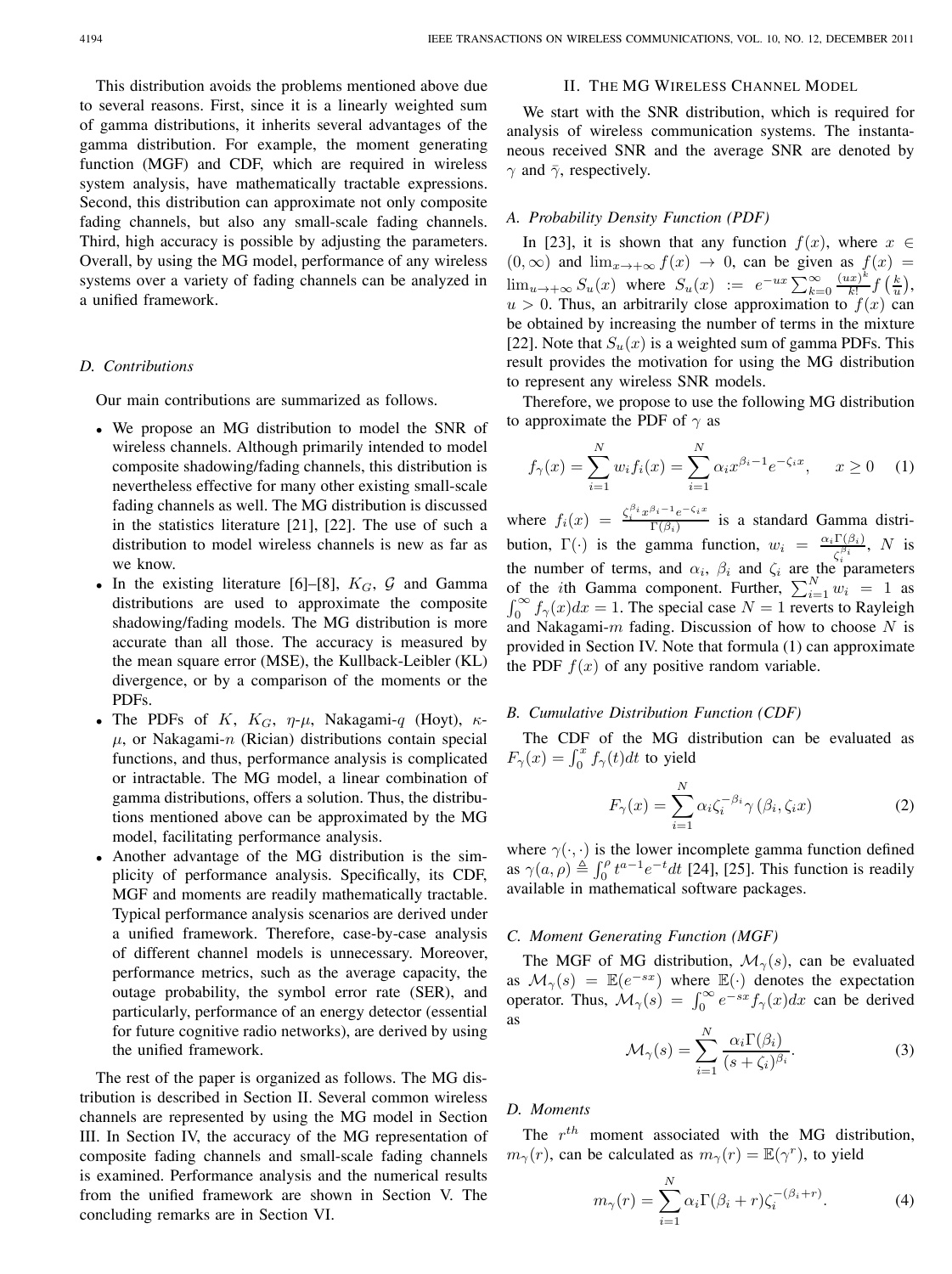This distribution avoids the problems mentioned above due to several reasons. First, since it is a linearly weighted sum of gamma distributions, it inherits several advantages of the gamma distribution. For example, the moment generating function (MGF) and CDF, which are required in wireless system analysis, have mathematically tractable expressions. Second, this distribution can approximate not only composite fading channels, but also any small-scale fading channels. Third, high accuracy is possible by adjusting the parameters. Overall, by using the MG model, performance of any wireless systems over a variety of fading channels can be analyzed in a unified framework.

## *D. Contributions*

Our main contributions are summarized as follows.

- <sup>∙</sup> We propose an MG distribution to model the SNR of wireless channels. Although primarily intended to model composite shadowing/fading channels, this distribution is nevertheless effective for many other existing small-scale fading channels as well. The MG distribution is discussed in the statistics literature [21], [22]. The use of such a distribution to model wireless channels is new as far as we know.
- In the existing literature [6]–[8],  $K_G$ ,  $\mathcal G$  and Gamma distributions are used to approximate the composite shadowing/fading models. The MG distribution is more accurate than all those. The accuracy is measured by the mean square error (MSE), the Kullback-Leibler (KL) divergence, or by a comparison of the moments or the PDFs.
- The PDFs of K,  $K_G$ ,  $\eta$ - $\mu$ , Nakagami-q (Hoyt),  $\kappa$ - $\mu$ , or Nakagami-n (Rician) distributions contain special functions, and thus, performance analysis is complicated or intractable. The MG model, a linear combination of gamma distributions, offers a solution. Thus, the distributions mentioned above can be approximated by the MG model, facilitating performance analysis.
- <sup>∙</sup> Another advantage of the MG distribution is the simplicity of performance analysis. Specifically, its CDF, MGF and moments are readily mathematically tractable. Typical performance analysis scenarios are derived under a unified framework. Therefore, case-by-case analysis of different channel models is unnecessary. Moreover, performance metrics, such as the average capacity, the outage probability, the symbol error rate (SER), and particularly, performance of an energy detector (essential for future cognitive radio networks), are derived by using the unified framework.

The rest of the paper is organized as follows. The MG distribution is described in Section II. Several common wireless channels are represented by using the MG model in Section III. In Section IV, the accuracy of the MG representation of composite fading channels and small-scale fading channels is examined. Performance analysis and the numerical results from the unified framework are shown in Section V. The concluding remarks are in Section VI.

#### II. THE MG WIRELESS CHANNEL MODEL

We start with the SNR distribution, which is required for analysis of wireless communication systems. The instantaneous received SNR and the average SNR are denoted by  $\gamma$  and  $\bar{\gamma}$ , respectively.

## *A. Probability Density Function (PDF)*

In [23], it is shown that any function  $f(x)$ , where  $x \in$  $(0, \infty)$  and  $\lim_{x \to +\infty} f(x) \to 0$ , can be given as  $f(x) =$  $\lim_{u\to+\infty} S_u(x)$  where  $S_u(x) := e^{-ux} \sum_{k=0}^{\infty} \frac{(ux)^k}{k!} f\left(\frac{k}{u}\right),$  $u > 0$ . Thus, an arbitrarily close approximation to  $f(x)$  can be obtained by increasing the number of terms in the mixture [22]. Note that  $S_u(x)$  is a weighted sum of gamma PDFs. This result provides the motivation for using the MG distribution to represent any wireless SNR models.

Therefore, we propose to use the following MG distribution to approximate the PDF of  $\gamma$  as

$$
f_{\gamma}(x) = \sum_{i=1}^{N} w_i f_i(x) = \sum_{i=1}^{N} \alpha_i x^{\beta_i - 1} e^{-\zeta_i x}, \quad x \ge 0 \quad (1)
$$

where  $f_i(x) = \frac{\zeta_i^{\beta_i} x^{\beta_i - 1} e^{-\zeta_i x}}{\Gamma(\beta_i)}$  is a standard Gamma distribution,  $\Gamma(\cdot)$  is the gamma function,  $w_i = \frac{\alpha_i \Gamma(\beta_i)}{\zeta_i^{\beta_i}}$ , N is the number of terms, and  $\alpha_i$ ,  $\beta_i$  and  $\zeta_i$  are the parameters of the *i*th Gamma component. Further,  $\sum_{i=1}^{N} w_i = 1$  as  $\int_0^\infty f_\gamma(x)dx = 1$ . The special case  $N = 1$  reverts to Rayleigh and Nakagami- $m$  fading. Discussion of how to choose  $N$  is provided in Section IV. Note that formula (1) can approximate the PDF  $f(x)$  of any positive random variable.

#### *B. Cumulative Distribution Function (CDF)*

The CDF of the MG distribution can be evaluated as  $F_{\gamma}(x) = \int_0^x f_{\gamma}(t) dt$  to yield

$$
F_{\gamma}(x) = \sum_{i=1}^{N} \alpha_i \zeta_i^{-\beta_i} \gamma(\beta_i, \zeta_i x)
$$
 (2)

where  $\gamma(\cdot, \cdot)$  is the lower incomplete gamma function defined as  $\gamma(a, \rho) \stackrel{\triangle}{=} \int_0^{\rho} t^{a-1} e^{-t} dt$  [24], [25]. This function is readily available in mathematical software packages.

# *C. Moment Generating Function (MGF)*

The MGF of MG distribution,  $\mathcal{M}_{\gamma}(s)$ , can be evaluated as  $\mathcal{M}_{\gamma}(s) = \mathbb{E}(e^{-sx})$  where  $\mathbb{E}(\cdot)$  denotes the expectation operator. Thus,  $\mathcal{M}_{\gamma}(s) = \int_0^{\infty} e^{-sx} f_{\gamma}(x) dx$  can be derived as

$$
\mathcal{M}_{\gamma}(s) = \sum_{i=1}^{N} \frac{\alpha_i \Gamma(\beta_i)}{(s + \zeta_i)^{\beta_i}}.
$$
 (3)

# *D. Moments*

The  $r^{th}$  moment associated with the MG distribution,  $m_{\gamma}(r)$ , can be calculated as  $m_{\gamma}(r) = \mathbb{E}(\gamma^{r})$ , to yield

$$
m_{\gamma}(r) = \sum_{i=1}^{N} \alpha_i \Gamma(\beta_i + r) \zeta_i^{-(\beta_i + r)}.
$$
 (4)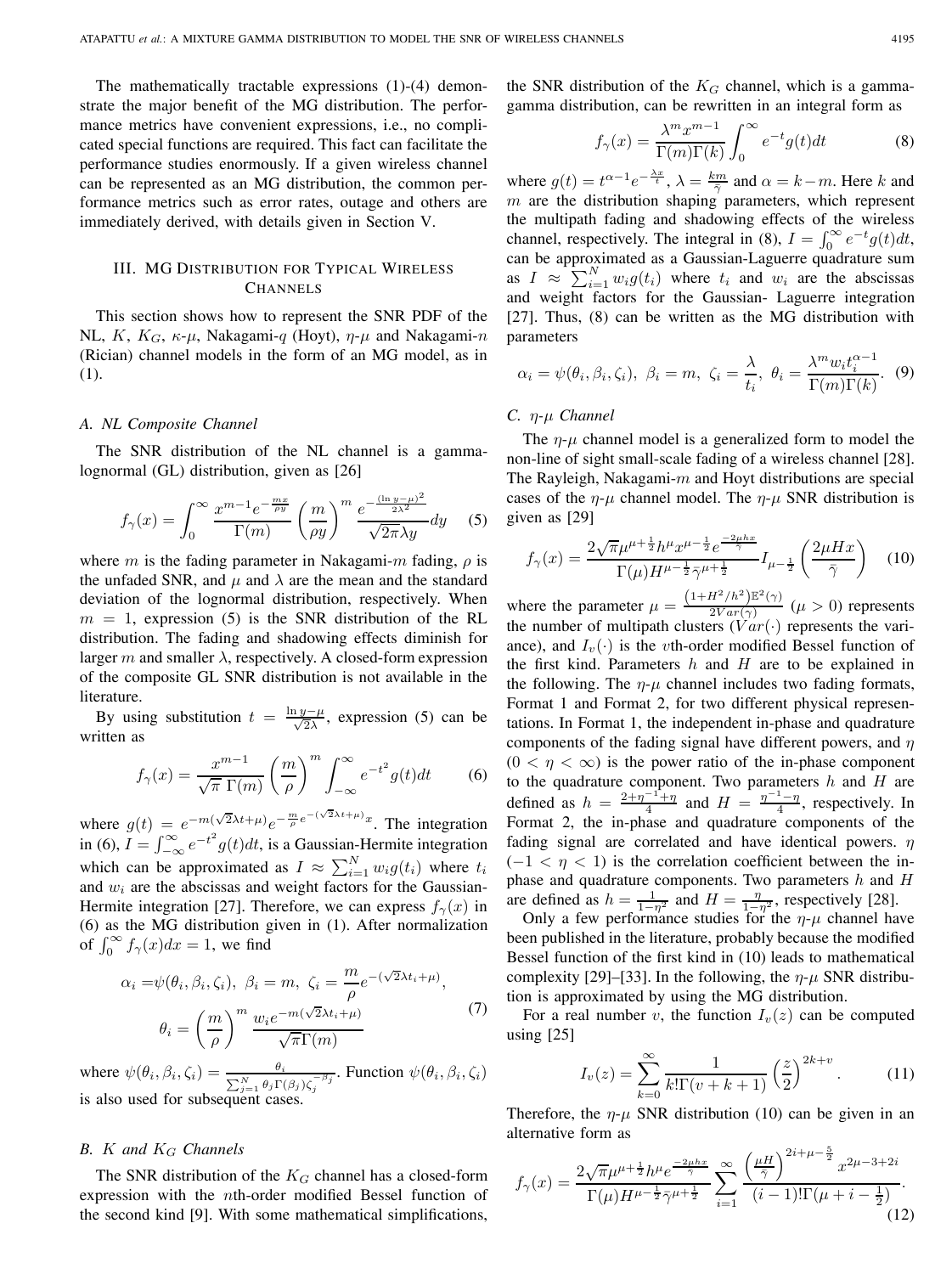The mathematically tractable expressions (1)-(4) demonstrate the major benefit of the MG distribution. The performance metrics have convenient expressions, i.e., no complicated special functions are required. This fact can facilitate the performance studies enormously. If a given wireless channel can be represented as an MG distribution, the common performance metrics such as error rates, outage and others are immediately derived, with details given in Section V.

# III. MG DISTRIBUTION FOR TYPICAL WIRELESS CHANNELS

This section shows how to represent the SNR PDF of the NL, K,  $K_G$ ,  $\kappa$ - $\mu$ , Nakagami-q (Hoyt),  $\eta$ - $\mu$  and Nakagami-n (Rician) channel models in the form of an MG model, as in (1).

#### *A. NL Composite Channel*

The SNR distribution of the NL channel is a gammalognormal (GL) distribution, given as [26]

$$
f_{\gamma}(x) = \int_0^{\infty} \frac{x^{m-1} e^{-\frac{mx}{\rho y}}}{\Gamma(m)} \left(\frac{m}{\rho y}\right)^m \frac{e^{-\frac{(\ln y - \mu)^2}{2\lambda^2}}}{\sqrt{2\pi}\lambda y} dy \quad (5)
$$

where *m* is the fading parameter in Nakagami-*m* fading,  $\rho$  is the unfaded SNR, and  $\mu$  and  $\lambda$  are the mean and the standard deviation of the lognormal distribution, respectively. When  $m = 1$ , expression (5) is the SNR distribution of the RL distribution. The fading and shadowing effects diminish for larger m and smaller  $\lambda$ , respectively. A closed-form expression of the composite GL SNR distribution is not available in the literature.

By using substitution  $t = \frac{\ln y - \mu}{\sqrt{2\lambda}}$ , expression (5) can be written as

$$
f_{\gamma}(x) = \frac{x^{m-1}}{\sqrt{\pi} \Gamma(m)} \left(\frac{m}{\rho}\right)^m \int_{-\infty}^{\infty} e^{-t^2} g(t) dt \qquad (6)
$$

where  $g(t) = e^{-m(\sqrt{2}\lambda t + \mu)}e^{-\frac{m}{\rho}e^{-(\sqrt{2}\lambda t + \mu)x}}$ . The integration in (6),  $I = \int_{-\infty}^{\infty} e^{-t^2} g(t) dt$ , is a Gaussian-Hermite integration which can be approximated as  $I \approx \sum_{i=1}^{N} w_i g(t_i)$  where  $t_i$ and  $w_i$  are the abscissas and weight factors for the Gaussian-Hermite integration [27]. Therefore, we can express  $f_{\gamma}(x)$  in (6) as the MG distribution given in (1). After normalization of  $\int_0^\infty f_\gamma(x)dx = 1$ , we find

$$
\alpha_i = \psi(\theta_i, \beta_i, \zeta_i), \ \beta_i = m, \ \zeta_i = \frac{m}{\rho} e^{-(\sqrt{2}\lambda t_i + \mu)},
$$

$$
\theta_i = \left(\frac{m}{\rho}\right)^m \frac{w_i e^{-m(\sqrt{2}\lambda t_i + \mu)}}{\sqrt{\pi} \Gamma(m)} \tag{7}
$$

where  $\psi(\theta_i, \beta_i, \zeta_i) = \frac{\theta_i}{\sum_{j=1}^N \theta_j \Gamma(\beta_j) \zeta_j^{-\beta_j}}$ . Function  $\psi(\theta_i, \beta_i, \zeta_i)$ is also used for subsequent cases.

# *B. and Channels*

The SNR distribution of the  $K_G$  channel has a closed-form expression with the *th-order modified Bessel function of* the second kind [9]. With some mathematical simplifications, the SNR distribution of the  $K_G$  channel, which is a gammagamma distribution, can be rewritten in an integral form as

$$
f_{\gamma}(x) = \frac{\lambda^m x^{m-1}}{\Gamma(m)\Gamma(k)} \int_0^{\infty} e^{-t} g(t) dt
$$
 (8)

where  $g(t) = t^{\alpha - 1} e^{-\frac{\lambda x}{t}}, \lambda = \frac{k m}{\overline{\gamma}}$  and  $\alpha = k - m$ . Here k and  $m$  are the distribution shaping parameters, which represent the multipath fading and shadowing effects of the wireless channel, respectively. The integral in (8),  $I = \int_0^\infty e^{-t} g(t) dt$ , can be approximated as a Gaussian-Laguerre quadrature sum as  $I \approx \sum_{i=1}^{N} w_i g(t_i)$  where  $t_i$  and  $w_i$  are the abscissas and weight factors for the Gaussian- Laguerre integration [27]. Thus, (8) can be written as the MG distribution with parameters

$$
\alpha_i = \psi(\theta_i, \beta_i, \zeta_i), \ \beta_i = m, \ \zeta_i = \frac{\lambda}{t_i}, \ \theta_i = \frac{\lambda^m w_i t_i^{\alpha - 1}}{\Gamma(m)\Gamma(k)}.
$$
 (9)

#### *C. η*-μ Channel

The  $\eta$ - $\mu$  channel model is a generalized form to model the non-line of sight small-scale fading of a wireless channel [28]. The Rayleigh, Nakagami- $m$  and Hoyt distributions are special cases of the  $\eta$ - $\mu$  channel model. The  $\eta$ - $\mu$  SNR distribution is given as [29]

$$
f_{\gamma}(x) = \frac{2\sqrt{\pi}\mu^{\mu+\frac{1}{2}}h^{\mu}x^{\mu-\frac{1}{2}}e^{\frac{-2\mu hx}{\bar{\gamma}}}}{\Gamma(\mu)H^{\mu-\frac{1}{2}}\bar{\gamma}^{\mu+\frac{1}{2}}}I_{\mu-\frac{1}{2}}\left(\frac{2\mu Hx}{\bar{\gamma}}\right) \quad (10)
$$

where the parameter  $\mu = \frac{(1+H^2/h^2)\mathbb{E}^2(\gamma)}{2Var(\gamma)}$   $(\mu > 0)$  represents the number of multipath clusters  $(Var(\cdot))$  represents the variance), and  $I_v(\cdot)$  is the vth-order modified Bessel function of the first kind. Parameters  $h$  and  $H$  are to be explained in the following. The  $\eta$ - $\mu$  channel includes two fading formats, Format 1 and Format 2, for two different physical representations. In Format 1, the independent in-phase and quadrature components of the fading signal have different powers, and  $\eta$  $(0 < \eta < \infty)$  is the power ratio of the in-phase component to the quadrature component. Two parameters  $h$  and  $H$  are defined as  $h = \frac{2+\eta^{-1}+\eta}{4}$  and  $H = \frac{\eta^{-1}-\eta}{4}$ , respectively. In Format 2, the in-phase and quadrature components of the fading signal are correlated and have identical powers.  $\eta$  $(-1 < \eta < 1)$  is the correlation coefficient between the inphase and quadrature components. Two parameters  $h$  and  $H$ are defined as  $h = \frac{1}{1-\eta^2}$  and  $H = \frac{\eta}{1-\eta^2}$ , respectively [28].

Only a few performance studies for the  $\eta$ - $\mu$  channel have been published in the literature, probably because the modified Bessel function of the first kind in (10) leads to mathematical complexity [29]–[33]. In the following, the  $\eta$ - $\mu$  SNR distribution is approximated by using the MG distribution.

For a real number v, the function  $I_v(z)$  can be computed using [25]

$$
I_v(z) = \sum_{k=0}^{\infty} \frac{1}{k! \Gamma(v+k+1)} \left(\frac{z}{2}\right)^{2k+v}.
$$
 (11)

Therefore, the  $\eta$ - $\mu$  SNR distribution (10) can be given in an alternative form as

$$
f_{\gamma}(x) = \frac{2\sqrt{\pi}\mu^{\mu + \frac{1}{2}}h^{\mu}e^{\frac{-2\mu hx}{\gamma}}}{\Gamma(\mu)H^{\mu - \frac{1}{2}}\bar{\gamma}^{\mu + \frac{1}{2}}} \sum_{i=1}^{\infty} \frac{\left(\frac{\mu H}{\bar{\gamma}}\right)^{2i + \mu - \frac{5}{2}}x^{2\mu - 3 + 2i}}{(i-1)!\Gamma(\mu + i - \frac{1}{2})}.
$$
\n(12)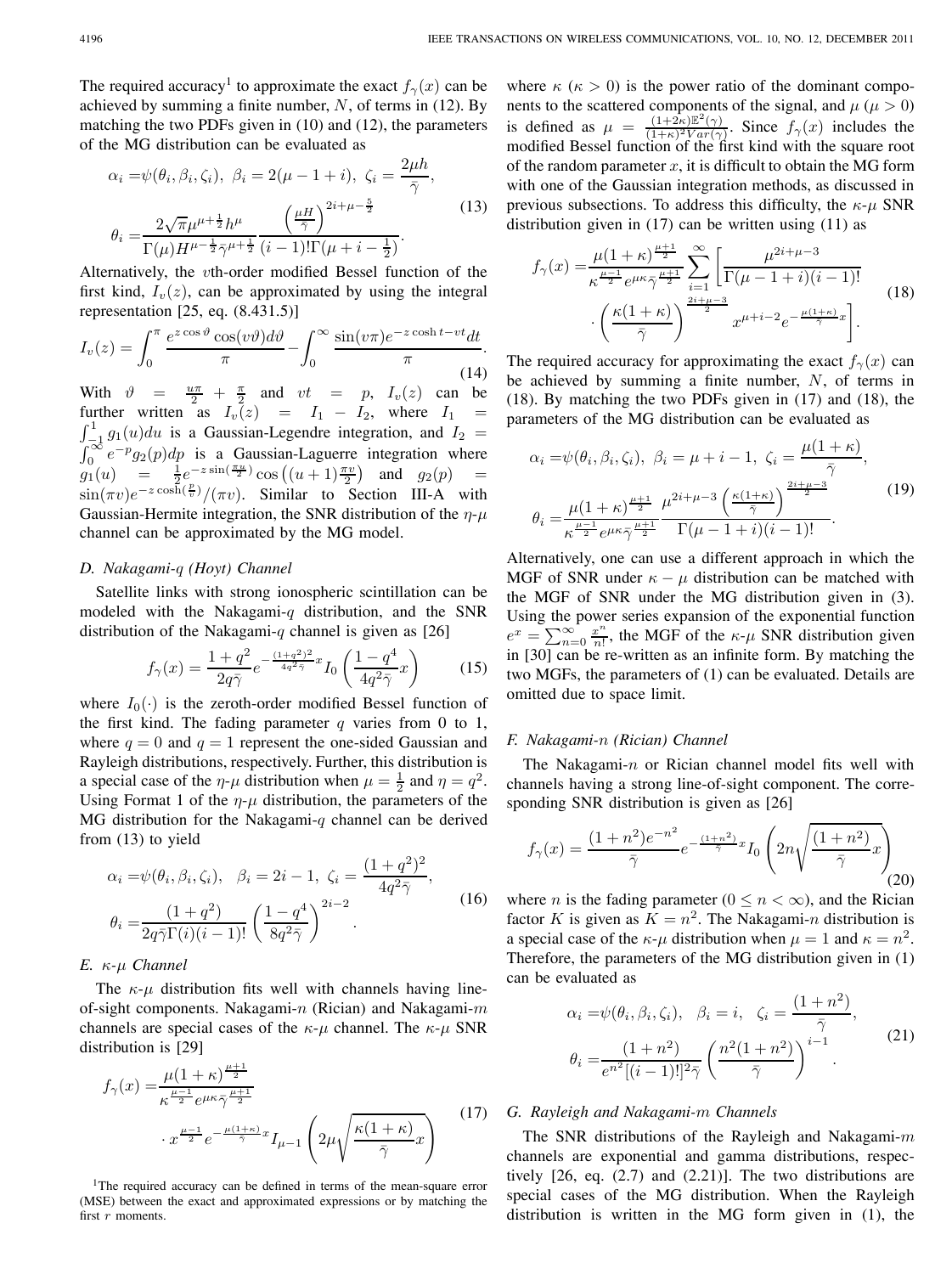The required accuracy<sup>1</sup> to approximate the exact  $f_{\gamma}(x)$  can be achieved by summing a finite number,  $N$ , of terms in (12). By matching the two PDFs given in (10) and (12), the parameters of the MG distribution can be evaluated as

$$
\alpha_i = \psi(\theta_i, \beta_i, \zeta_i), \ \beta_i = 2(\mu - 1 + i), \ \zeta_i = \frac{2\mu h}{\bar{\gamma}},
$$

$$
\theta_i = \frac{2\sqrt{\pi}\mu^{\mu + \frac{1}{2}}h^{\mu}}{\Gamma(\mu)H^{\mu - \frac{1}{2}}\bar{\gamma}^{\mu + \frac{1}{2}}} \frac{\left(\frac{\mu H}{\bar{\gamma}}\right)^{2i + \mu - \frac{5}{2}}}{(i - 1)!\Gamma(\mu + i - \frac{1}{2})}.
$$
(13)

Alternatively, the *v*th-order modified Bessel function of the first kind,  $I_v(z)$ , can be approximated by using the integral representation [25, eq. (8.431.5)]

$$
I_v(z) = \int_0^\pi \frac{e^{z\cos\vartheta}\cos(v\vartheta)d\vartheta}{\pi} - \int_0^\infty \frac{\sin(v\pi)e^{-z\cosh t - vt}dt}{\pi}.
$$
\n(14)

With  $\vartheta = \frac{u\pi}{2} + \frac{\pi}{2}$  and  $vt = p$ ,  $I_v(z)$  can be further written as  $I_v(z) = I_1 - I_2$ , where  $I_1 = \int_{-1}^{1} g_1(u) du$  is a Gaussian-Legendre integration, and  $I_2 =$  $\int_{-1}^{1} g_1(u) du$  is a Gaussian-Legendre integration, and  $I_2 = \int_{0}^{\infty} e^{-p} g_2(p) dp$  is a Gaussian-Laguerre integration where  $g_1(u) = \frac{1}{2}e^{-z\sin(\frac{\pi u}{2})}\cos((u+1)\frac{\pi v}{2})$  and  $g_2(p) =$  $\sin(\pi v)e^{-z\cos\hat{h}(\frac{p}{v})}/(\pi v)$ . Similar to Section III-A with Gaussian-Hermite integration, the SNR distribution of the  $\eta$ - $\mu$ channel can be approximated by the MG model.

#### *D. Nakagami- (Hoyt) Channel*

Satellite links with strong ionospheric scintillation can be modeled with the Nakagami- $q$  distribution, and the SNR distribution of the Nakagami-q channel is given as [26]

$$
f_{\gamma}(x) = \frac{1+q^2}{2q\bar{\gamma}} e^{-\frac{(1+q^2)^2}{4q^2\bar{\gamma}}x} I_0\left(\frac{1-q^4}{4q^2\bar{\gamma}}x\right)
$$
(15)

where  $I_0(\cdot)$  is the zeroth-order modified Bessel function of the first kind. The fading parameter  $q$  varies from 0 to 1, where  $q = 0$  and  $q = 1$  represent the one-sided Gaussian and Rayleigh distributions, respectively. Further, this distribution is a special case of the  $\eta$ - $\mu$  distribution when  $\mu = \frac{1}{2}$  and  $\eta = q^2$ . Using Format 1 of the  $\eta$ - $\mu$  distribution, the parameters of the MG distribution for the Nakagami-q channel can be derived from (13) to yield

$$
\alpha_i = \psi(\theta_i, \beta_i, \zeta_i), \quad \beta_i = 2i - 1, \ \zeta_i = \frac{(1 + q^2)^2}{4q^2\bar{\gamma}}, \n\theta_i = \frac{(1 + q^2)}{2q\bar{\gamma}\Gamma(i)(i - 1)!} \left(\frac{1 - q^4}{8q^2\bar{\gamma}}\right)^{2i - 2}.
$$
\n(16)

#### $E. \kappa$ <sup>- $\mu$ </sup> *Channel*

The  $\kappa$ - $\mu$  distribution fits well with channels having lineof-sight components. Nakagami- $n$  (Rician) and Nakagami- $m$ channels are special cases of the  $\kappa$ - $\mu$  channel. The  $\kappa$ - $\mu$  SNR distribution is [29]

$$
f_{\gamma}(x) = \frac{\mu(1+\kappa)^{\frac{\mu+1}{2}}}{\kappa^{\frac{\mu-1}{2}}e^{\mu\kappa\bar{\gamma}^{\frac{\mu+1}{2}}}} \cdot x^{\frac{\mu-1}{2}}e^{-\frac{\mu(1+\kappa)}{\bar{\gamma}}x}I_{\mu-1}\left(2\mu\sqrt{\frac{\kappa(1+\kappa)}{\bar{\gamma}}x}\right)
$$
(17)

<sup>1</sup>The required accuracy can be defined in terms of the mean-square error (MSE) between the exact and approximated expressions or by matching the first  $r$  moments.

where  $\kappa$  ( $\kappa > 0$ ) is the power ratio of the dominant components to the scattered components of the signal, and  $\mu$  ( $\mu > 0$ ) is defined as  $\mu = \frac{(1+2\kappa)\mathbb{E}^2(\gamma)}{(1+\kappa)^2Var(\gamma)}$ . Since  $f_{\gamma}(x)$  includes the modified Bessel function of the first kind with the square root of the random parameter  $x$ , it is difficult to obtain the MG form with one of the Gaussian integration methods, as discussed in previous subsections. To address this difficulty, the  $\kappa$ - $\mu$  SNR distribution given in (17) can be written using (11) as

$$
f_{\gamma}(x) = \frac{\mu(1+\kappa)^{\frac{\mu+1}{2}}}{\kappa^{\frac{\mu-1}{2}}e^{\mu\kappa\bar{\gamma}^{\frac{\mu+1}{2}}}} \sum_{i=1}^{\infty} \left[ \frac{\mu^{2i+\mu-3}}{\Gamma(\mu-1+i)(i-1)!} - \left(\frac{\kappa(1+\kappa)}{\bar{\gamma}}\right)^{\frac{2i+\mu-3}{2}} x^{\mu+i-2} e^{-\frac{\mu(1+\kappa)}{\bar{\gamma}}x} \right].
$$
 (18)

The required accuracy for approximating the exact  $f_{\gamma}(x)$  can be achieved by summing a finite number,  $N$ , of terms in (18). By matching the two PDFs given in (17) and (18), the parameters of the MG distribution can be evaluated as

$$
\alpha_{i} = \psi(\theta_{i}, \beta_{i}, \zeta_{i}), \ \beta_{i} = \mu + i - 1, \ \zeta_{i} = \frac{\mu(1 + \kappa)}{\bar{\gamma}},
$$

$$
\theta_{i} = \frac{\mu(1 + \kappa)^{\frac{\mu + 1}{2}}}{\kappa^{\frac{\mu - 1}{2}} e^{\mu \kappa} \bar{\gamma}^{\frac{\mu + 1}{2}}} \frac{\mu^{2i + \mu - 3} \left(\frac{\kappa(1 + \kappa)}{\bar{\gamma}}\right)^{\frac{2i + \mu - 3}{2}}}{\Gamma(\mu - 1 + i)(i - 1)!}.
$$
(19)

Alternatively, one can use a different approach in which the MGF of SNR under  $\kappa - \mu$  distribution can be matched with the MGF of SNR under the MG distribution given in (3). Using the power series expansion of the exponential function  $e^x = \sum_{n=0}^{\infty} \frac{x^n}{n!}$ , the MGF of the  $\kappa$ - $\mu$  SNR distribution given in [30] can be re-written as an infinite form. By matching the two MGFs, the parameters of (1) can be evaluated. Details are omitted due to space limit.

#### *F. Nakagami- (Rician) Channel*

The Nakagami- $n$  or Rician channel model fits well with channels having a strong line-of-sight component. The corresponding SNR distribution is given as [26]

$$
f_{\gamma}(x) = \frac{(1+n^2)e^{-n^2}}{\bar{\gamma}}e^{-\frac{(1+n^2)}{\bar{\gamma}}x}I_0\left(2n\sqrt{\frac{(1+n^2)}{\bar{\gamma}}x}\right)
$$
(20)

where *n* is the fading parameter ( $0 \le n \le \infty$ ), and the Rician factor K is given as  $K = n^2$ . The Nakagami-n distribution is a special case of the  $\kappa$ - $\mu$  distribution when  $\mu = 1$  and  $\kappa = n^2$ . Therefore, the parameters of the MG distribution given in (1) can be evaluated as

$$
\alpha_i = \psi(\theta_i, \beta_i, \zeta_i), \quad \beta_i = i, \quad \zeta_i = \frac{(1+n^2)}{\bar{\gamma}}, \n\theta_i = \frac{(1+n^2)}{e^{n^2}[(i-1)!]^2 \bar{\gamma}} \left(\frac{n^2(1+n^2)}{\bar{\gamma}}\right)^{i-1}.
$$
\n(21)

# *G. Rayleigh and Nakagami- Channels*

The SNR distributions of the Rayleigh and Nakagami- $m$ channels are exponential and gamma distributions, respectively [26, eq. (2.7) and (2.21)]. The two distributions are special cases of the MG distribution. When the Rayleigh distribution is written in the MG form given in (1), the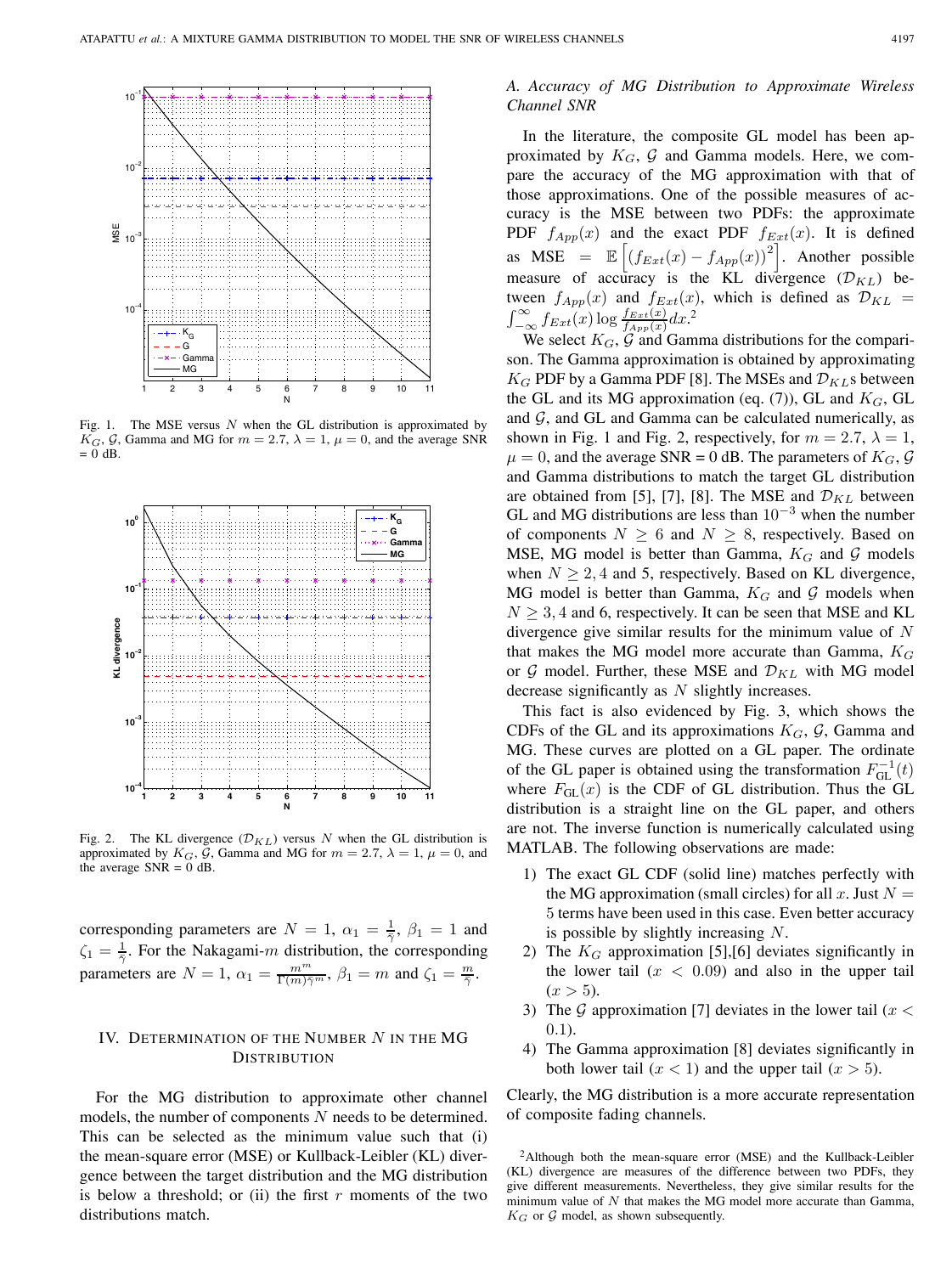

Fig. 1. The MSE versus  $N$  when the GL distribution is approximated by  $K_G$ , G, Gamma and MG for  $m = 2.7$ ,  $\lambda = 1$ ,  $\mu = 0$ , and the average SNR  $= 0$  dB.



Fig. 2. The KL divergence  $(\mathcal{D}_{KL})$  versus N when the GL distribution is approximated by  $K_G$ ,  $\bar{G}$ , Gamma and MG for  $m = 2.7$ ,  $\lambda = 1$ ,  $\mu = 0$ , and the average  $SNR = 0$  dB.

corresponding parameters are  $N = 1$ ,  $\alpha_1 = \frac{1}{2}$ ,  $\beta_1 = 1$  and  $\zeta_1 = \frac{1}{\overline{\gamma}}$ . For the Nakagami-*m* distribution, the corresponding parameters are  $N = 1$ ,  $\alpha_1 = \frac{m^m}{\Gamma(m)\bar{\gamma}^m}$ ,  $\beta_1 = m$  and  $\zeta_1 = \frac{m}{\bar{\gamma}}$ .

# IV. DETERMINATION OF THE NUMBER  $N$  in the MG **DISTRIBUTION**

For the MG distribution to approximate other channel models, the number of components  $N$  needs to be determined. This can be selected as the minimum value such that (i) the mean-square error (MSE) or Kullback-Leibler (KL) divergence between the target distribution and the MG distribution is below a threshold; or (ii) the first  $r$  moments of the two distributions match.

# *A. Accuracy of MG Distribution to Approximate Wireless Channel SNR*

In the literature, the composite GL model has been approximated by  $K_G$ ,  $\mathcal G$  and Gamma models. Here, we compare the accuracy of the MG approximation with that of those approximations. One of the possible measures of accuracy is the MSE between two PDFs: the approximate PDF  $f_{App}(x)$  and the exact PDF  $f_{Ext}(x)$ . It is defined as MSE =  $\mathbb{E}\left[\left(f_{Ext}(x) - f_{App}(x)\right)^2\right]$ . Another possible measure of accuracy is the KL divergence  $(\mathcal{D}_{KL})$  between  $f_{App}(x)$  and  $f_{Ext}(x)$ , which is defined as  $\mathcal{D}_{KL} =$  $\int_{-\infty}^{\infty} f_{Ext}(x) \log \frac{f_{Ext}(x)}{f_{App}(x)} dx$ <sup>2</sup>

We select  $K_G$ ,  $\mathcal G$  and Gamma distributions for the comparison. The Gamma approximation is obtained by approximating  $K_G$  PDF by a Gamma PDF [8]. The MSEs and  $\mathcal{D}_{KL}$ s between the GL and its MG approximation (eq.  $(7)$ ), GL and  $K_G$ , GL and  $G$ , and GL and Gamma can be calculated numerically, as shown in Fig. 1 and Fig. 2, respectively, for  $m = 2.7$ ,  $\lambda = 1$ ,  $\mu = 0$ , and the average SNR = 0 dB. The parameters of  $K_G$ , G and Gamma distributions to match the target GL distribution are obtained from [5], [7], [8]. The MSE and  $\mathcal{D}_{KL}$  between GL and MG distributions are less than  $10^{-3}$  when the number of components  $N \ge 6$  and  $N \ge 8$ , respectively. Based on MSE, MG model is better than Gamma,  $K_G$  and  $\mathcal G$  models when  $N \geq 2, 4$  and 5, respectively. Based on KL divergence, MG model is better than Gamma,  $K_G$  and G models when  $N \geq 3, 4$  and 6, respectively. It can be seen that MSE and KL divergence give similar results for the minimum value of  $N$ that makes the MG model more accurate than Gamma,  $K_G$ or  $G$  model. Further, these MSE and  $\mathcal{D}_{KL}$  with MG model decrease significantly as  $N$  slightly increases.

This fact is also evidenced by Fig. 3, which shows the CDFs of the GL and its approximations  $K_G$ ,  $\mathcal G$ , Gamma and MG. These curves are plotted on a GL paper. The ordinate of the GL paper is obtained using the transformation  $F_{\text{GL}}^{-1}(t)$ where  $F_{\text{GL}}(x)$  is the CDF of GL distribution. Thus the GL distribution is a straight line on the GL paper, and others are not. The inverse function is numerically calculated using MATLAB. The following observations are made:

- 1) The exact GL CDF (solid line) matches perfectly with the MG approximation (small circles) for all x. Just  $N =$ 5 terms have been used in this case. Even better accuracy is possible by slightly increasing  $N$ .
- 2) The  $K_G$  approximation [5], [6] deviates significantly in the lower tail  $(x < 0.09)$  and also in the upper tail  $(x > 5)$ .
- 3) The G approximation [7] deviates in the lower tail ( $x <$ 0.1).
- 4) The Gamma approximation [8] deviates significantly in both lower tail  $(x < 1)$  and the upper tail  $(x > 5)$ .

Clearly, the MG distribution is a more accurate representation of composite fading channels.

<sup>2</sup>Although both the mean-square error (MSE) and the Kullback-Leibler (KL) divergence are measures of the difference between two PDFs, they give different measurements. Nevertheless, they give similar results for the minimum value of  $N$  that makes the MG model more accurate than Gamma,  $K_G$  or  $G$  model, as shown subsequently.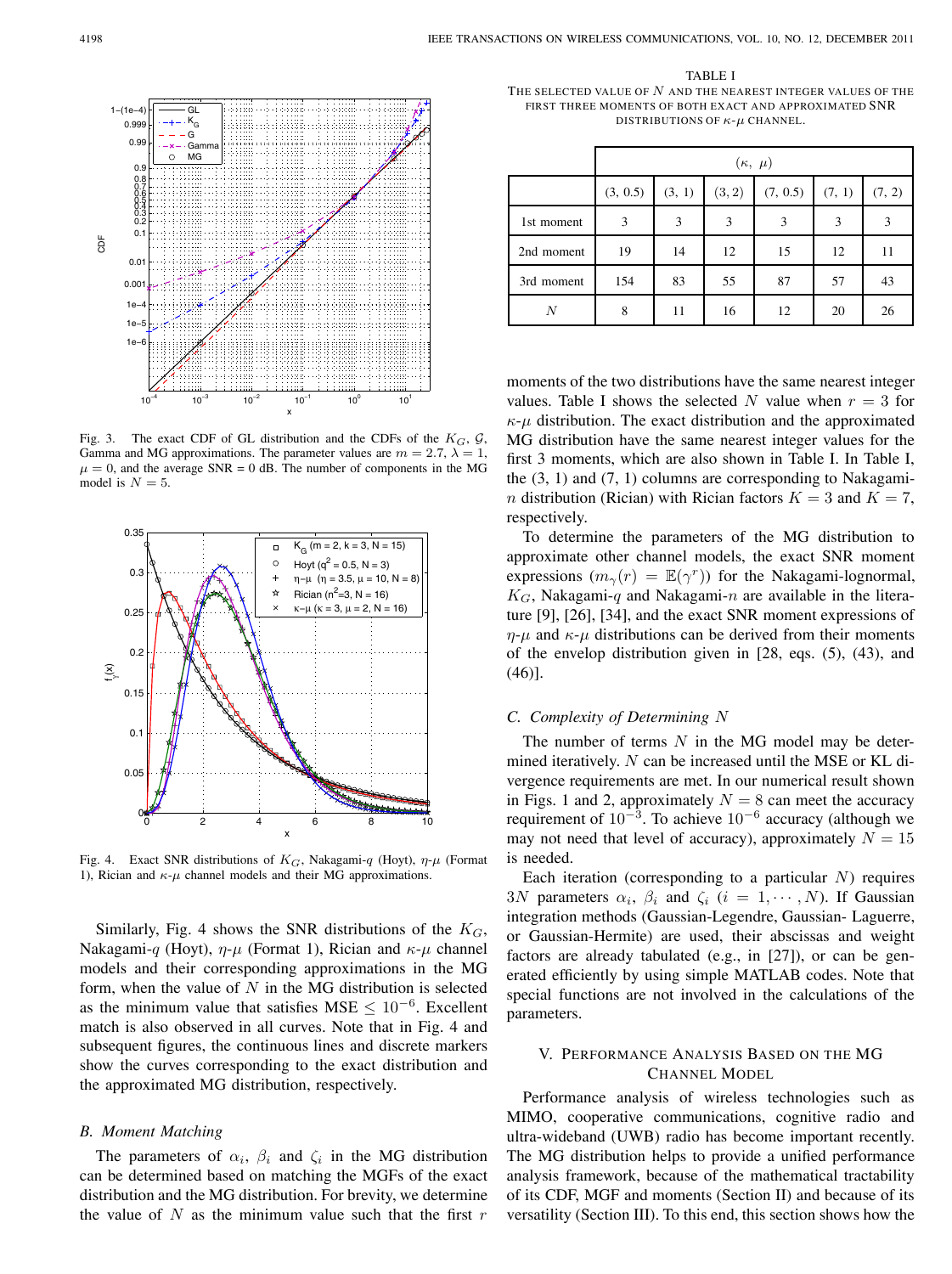

Fig. 3. The exact CDF of GL distribution and the CDFs of the  $K_G$ ,  $G$ , Gamma and MG approximations. The parameter values are  $m = 2.7$ ,  $\lambda = 1$ ,  $\mu = 0$ , and the average SNR = 0 dB. The number of components in the MG model is  $N = 5$ .



Fig. 4. Exact SNR distributions of  $K_G$ , Nakagami-q (Hoyt),  $\eta$ - $\mu$  (Format 1), Rician and  $\kappa$ - $\mu$  channel models and their MG approximations.

Similarly, Fig. 4 shows the SNR distributions of the  $K_G$ , Nakagami-q (Hoyt),  $\eta$ - $\mu$  (Format 1), Rician and  $\kappa$ - $\mu$  channel models and their corresponding approximations in the MG form, when the value of  $N$  in the MG distribution is selected as the minimum value that satisfies MSE  $\leq 10^{-6}$ . Excellent match is also observed in all curves. Note that in Fig. 4 and subsequent figures, the continuous lines and discrete markers show the curves corresponding to the exact distribution and the approximated MG distribution, respectively.

#### *B. Moment Matching*

The parameters of  $\alpha_i$ ,  $\beta_i$  and  $\zeta_i$  in the MG distribution can be determined based on matching the MGFs of the exact distribution and the MG distribution. For brevity, we determine the value of  $N$  as the minimum value such that the first  $r$ 

TABLE I THE SELECTED VALUE OF  $N$  and the nearest integer values of the FIRST THREE MOMENTS OF BOTH EXACT AND APPROXIMATED SNR DISTRIBUTIONS OF  $\kappa$ - $\mu$  CHANNEL.

|            | $(\kappa, \mu)$ |        |        |          |        |        |
|------------|-----------------|--------|--------|----------|--------|--------|
|            | (3, 0.5)        | (3, 1) | (3, 2) | (7, 0.5) | (7, 1) | (7, 2) |
| 1st moment | 3               | 3      | 3      | 3        | 3      | 3      |
| 2nd moment | 19              | 14     | 12     | 15       | 12     | 11     |
| 3rd moment | 154             | 83     | 55     | 87       | 57     | 43     |
| N          | 8               | 11     | 16     | 12       | 20     | 26     |

moments of the two distributions have the same nearest integer values. Table I shows the selected N value when  $r = 3$  for  $\kappa$ - $\mu$  distribution. The exact distribution and the approximated MG distribution have the same nearest integer values for the first 3 moments, which are also shown in Table I. In Table I, the  $(3, 1)$  and  $(7, 1)$  columns are corresponding to Nakagami*n* distribution (Rician) with Rician factors  $K = 3$  and  $K = 7$ , respectively.

To determine the parameters of the MG distribution to approximate other channel models, the exact SNR moment expressions  $(m_\gamma(r) = \mathbb{E}(\gamma^r))$  for the Nakagami-lognormal,  $K_G$ , Nakagami-q and Nakagami-n are available in the literature [9], [26], [34], and the exact SNR moment expressions of  $\eta$ - $\mu$  and  $\kappa$ - $\mu$  distributions can be derived from their moments of the envelop distribution given in [28, eqs. (5), (43), and (46)].

## *C. Complexity of Determining*

The number of terms  $N$  in the MG model may be determined iteratively.  $N$  can be increased until the MSE or KL divergence requirements are met. In our numerical result shown in Figs. 1 and 2, approximately  $N = 8$  can meet the accuracy requirement of  $10^{-3}$ . To achieve  $10^{-6}$  accuracy (although we may not need that level of accuracy), approximately  $N = 15$ is needed.

Each iteration (corresponding to a particular  $N$ ) requires 3N parameters  $\alpha_i$ ,  $\beta_i$  and  $\zeta_i$   $(i = 1, \dots, N)$ . If Gaussian integration methods (Gaussian-Legendre, Gaussian- Laguerre, or Gaussian-Hermite) are used, their abscissas and weight factors are already tabulated (e.g., in [27]), or can be generated efficiently by using simple MATLAB codes. Note that special functions are not involved in the calculations of the parameters.

# V. PERFORMANCE ANALYSIS BASED ON THE MG CHANNEL MODEL

Performance analysis of wireless technologies such as MIMO, cooperative communications, cognitive radio and ultra-wideband (UWB) radio has become important recently. The MG distribution helps to provide a unified performance analysis framework, because of the mathematical tractability of its CDF, MGF and moments (Section II) and because of its versatility (Section III). To this end, this section shows how the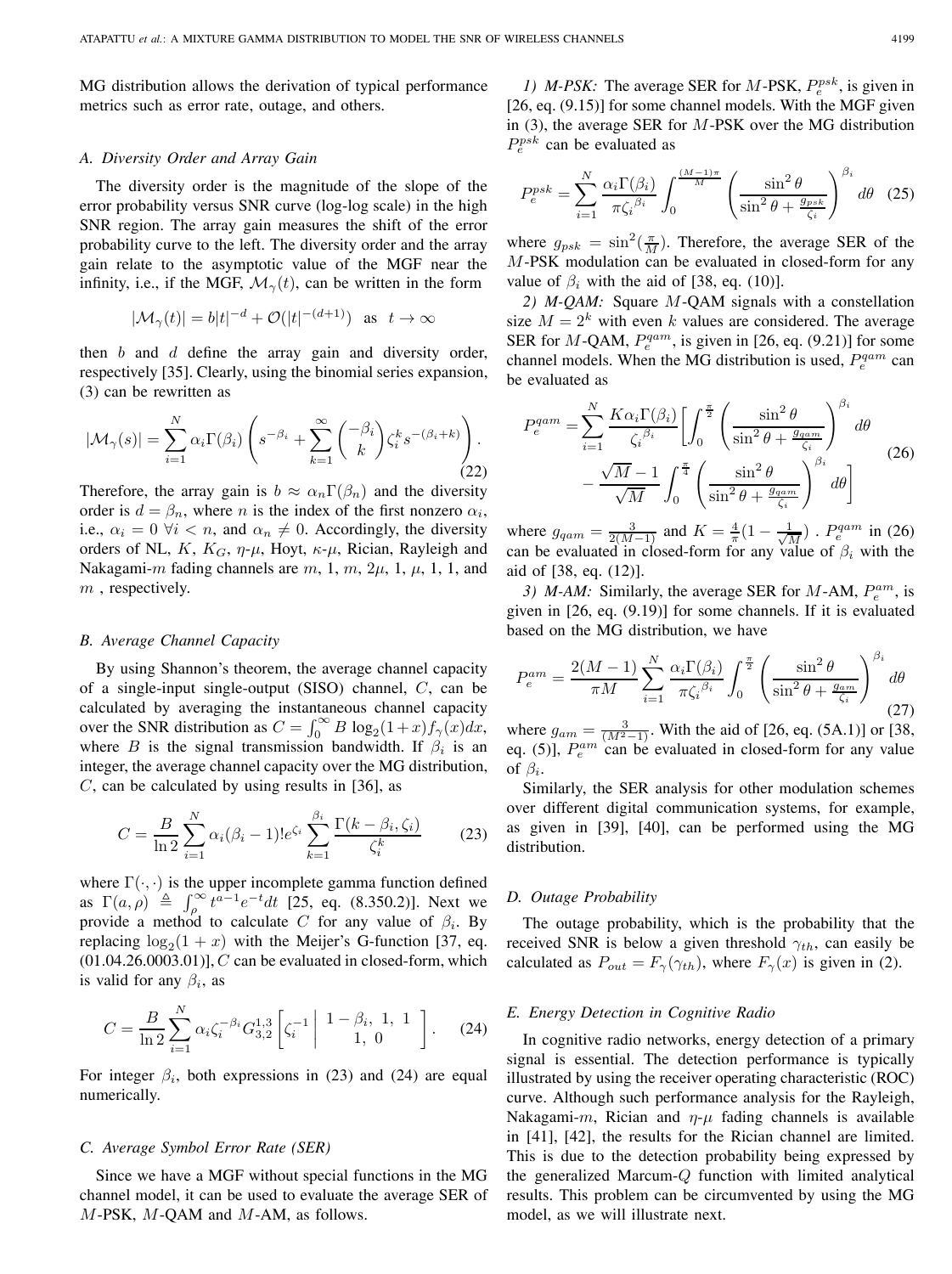MG distribution allows the derivation of typical performance metrics such as error rate, outage, and others.

#### *A. Diversity Order and Array Gain*

The diversity order is the magnitude of the slope of the error probability versus SNR curve (log-log scale) in the high SNR region. The array gain measures the shift of the error probability curve to the left. The diversity order and the array gain relate to the asymptotic value of the MGF near the infinity, i.e., if the MGF,  $\mathcal{M}_{\gamma}(t)$ , can be written in the form

$$
|\mathcal{M}_{\gamma}(t)| = b|t|^{-d} + \mathcal{O}(|t|^{-(d+1)}) \text{ as } t \to \infty
$$

then  $b$  and  $d$  define the array gain and diversity order, respectively [35]. Clearly, using the binomial series expansion, (3) can be rewritten as

$$
|\mathcal{M}_{\gamma}(s)| = \sum_{i=1}^{N} \alpha_i \Gamma(\beta_i) \left( s^{-\beta_i} + \sum_{k=1}^{\infty} {\binom{-\beta_i}{k}} \zeta_i^k s^{-(\beta_i + k)} \right).
$$
\n(22)

Therefore, the array gain is  $b \approx \alpha_n \Gamma(\beta_n)$  and the diversity order is  $d = \beta_n$ , where *n* is the index of the first nonzero  $\alpha_i$ , i.e.,  $\alpha_i = 0 \ \forall i \ < n$ , and  $\alpha_n \neq 0$ . Accordingly, the diversity orders of NL,  $K$ ,  $K_G$ ,  $\eta$ - $\mu$ , Hoyt,  $\kappa$ - $\mu$ , Rician, Rayleigh and Nakagami-m fading channels are  $m, 1, m, 2\mu, 1, \mu, 1, 1$ , and  $m$ , respectively.

#### *B. Average Channel Capacity*

By using Shannon's theorem, the average channel capacity of a single-input single-output  $(SISO)$  channel,  $C$ , can be calculated by averaging the instantaneous channel capacity over the SNR distribution as  $C = \int_0^\infty B \log_2(1+x) f_\gamma(x) dx$ , where B is the signal transmission bandwidth. If  $\beta_i$  is an integer, the average channel capacity over the MG distribution,  $C$ , can be calculated by using results in [36], as

$$
C = \frac{B}{\ln 2} \sum_{i=1}^{N} \alpha_i (\beta_i - 1)! e^{\zeta_i} \sum_{k=1}^{\beta_i} \frac{\Gamma(k - \beta_i, \zeta_i)}{\zeta_i^k}
$$
(23)

where  $\Gamma(\cdot, \cdot)$  is the upper incomplete gamma function defined as  $\Gamma(a, \rho) \triangleq \int_{\rho}^{\infty} t^{a-1} e^{-t} dt$  [25, eq. (8.350.2)]. Next we provide a method to calculate C for any value of  $\beta_i$ . By replacing  $\log_2(1 + x)$  with the Meijer's G-function [37, eq.  $(01.04.26.0003.01)$ ],  $C$  can be evaluated in closed-form, which is valid for any  $\beta_i$ , as

$$
C = \frac{B}{\ln 2} \sum_{i=1}^{N} \alpha_i \zeta_i^{-\beta_i} G_{3,2}^{1,3} \left[ \zeta_i^{-1} \middle| 1 - \beta_i, 1, 1 \atop 1, 0 \right]. \tag{24}
$$

For integer  $\beta_i$ , both expressions in (23) and (24) are equal numerically.

#### *C. Average Symbol Error Rate (SER)*

Since we have a MGF without special functions in the MG channel model, it can be used to evaluate the average SER of  $M$ -PSK,  $M$ -QAM and  $M$ -AM, as follows.

*1) M-PSK*: The average SER for *M-PSK*,  $P_e^{psk}$ , is given in [26, eq. (9.15)] for some channel models. With the MGF given in  $(3)$ , the average SER for  $M$ -PSK over the MG distribution  $P_e^{psk}$  can be evaluated as

$$
P_e^{psk} = \sum_{i=1}^{N} \frac{\alpha_i \Gamma(\beta_i)}{\pi \zeta_i^{\beta_i}} \int_0^{\frac{(M-1)\pi}{M}} \left( \frac{\sin^2 \theta}{\sin^2 \theta + \frac{g_{psk}}{\zeta_i}} \right)^{\beta_i} d\theta \quad (25)
$$

where  $g_{psk} = \sin^2(\frac{\pi}{M})$ . Therefore, the average SER of the M-PSK modulation can be evaluated in closed-form for any value of  $\beta_i$  with the aid of [38, eq. (10)].

2) M-QAM: Square M-QAM signals with a constellation size  $M = 2<sup>k</sup>$  with even k values are considered. The average SER for  $M$ -QAM,  $P_e^{qam}$ , is given in [26, eq. (9.21)] for some channel models. When the MG distribution is used,  $P_e^{qam}$  can be evaluated as

$$
P_e^{qam} = \sum_{i=1}^{N} \frac{K\alpha_i \Gamma(\beta_i)}{\zeta_i^{\beta_i}} \left[ \int_0^{\frac{\pi}{2}} \left( \frac{\sin^2 \theta}{\sin^2 \theta + \frac{g_{qam}}{\zeta_i}} \right)^{\beta_i} d\theta - \frac{\sqrt{M} - 1}{\sqrt{M}} \int_0^{\frac{\pi}{4}} \left( \frac{\sin^2 \theta}{\sin^2 \theta + \frac{g_{qam}}{\zeta_i}} \right)^{\beta_i} d\theta \right]
$$
(26)

where  $g_{qam} = \frac{3}{2(M-1)}$  and  $K = \frac{4}{\pi} (1 - \frac{1}{\sqrt{M}})$ .  $P_e^{qam}$  in (26) can be evaluated in closed-form for any value of  $\beta_i$  with the aid of [38, eq. (12)].

3) M-AM: Similarly, the average SER for  $M$ -AM,  $P_e^{am}$ , is given in [26, eq. (9.19)] for some channels. If it is evaluated based on the MG distribution, we have

$$
P_e^{am} = \frac{2(M-1)}{\pi M} \sum_{i=1}^N \frac{\alpha_i \Gamma(\beta_i)}{\pi \zeta_i^{\beta_i}} \int_0^{\frac{\pi}{2}} \left( \frac{\sin^2 \theta}{\sin^2 \theta + \frac{g_{am}}{\zeta_i}} \right)^{\beta_i} d\theta \tag{27}
$$

where  $g_{am} = \frac{3}{(M^2-1)}$ . With the aid of [26, eq. (5A.1)] or [38, eq. (5)],  $P_e^{am}$  can be evaluated in closed-form for any value of  $\beta_i$ .

Similarly, the SER analysis for other modulation schemes over different digital communication systems, for example, as given in [39], [40], can be performed using the MG distribution.

#### *D. Outage Probability*

The outage probability, which is the probability that the received SNR is below a given threshold  $\gamma_{th}$ , can easily be calculated as  $P_{out} = F_{\gamma}(\gamma_{th})$ , where  $F_{\gamma}(x)$  is given in (2).

## *E. Energy Detection in Cognitive Radio*

In cognitive radio networks, energy detection of a primary signal is essential. The detection performance is typically illustrated by using the receiver operating characteristic (ROC) curve. Although such performance analysis for the Rayleigh, Nakagami- $m$ , Rician and  $\eta$ - $\mu$  fading channels is available in [41], [42], the results for the Rician channel are limited. This is due to the detection probability being expressed by the generalized Marcum- $Q$  function with limited analytical results. This problem can be circumvented by using the MG model, as we will illustrate next.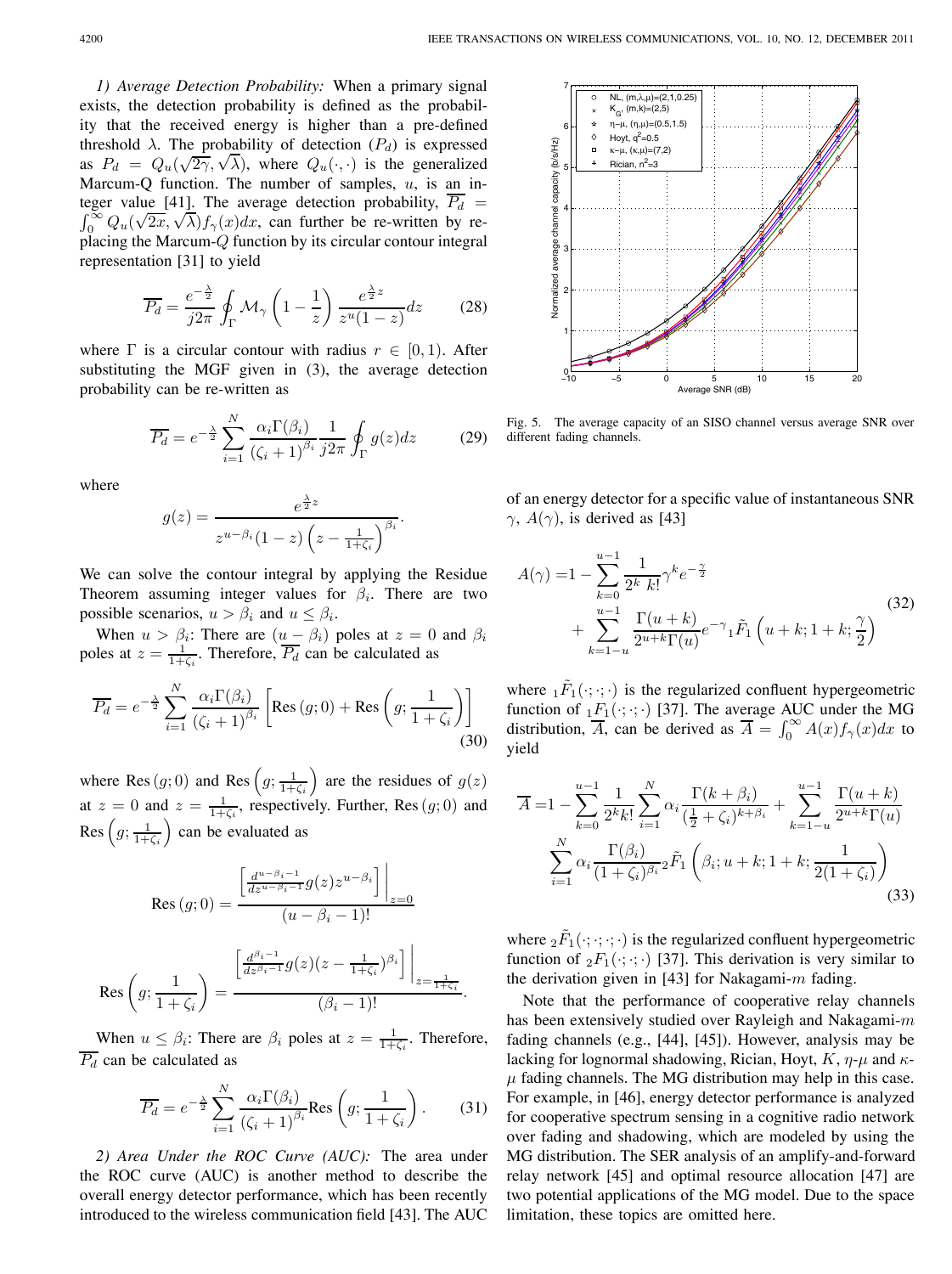*1) Average Detection Probability:* When a primary signal exists, the detection probability is defined as the probability that the received energy is higher than a pre-defined threshold  $\lambda$ . The probability of detection  $(P_d)$  is expressed as  $P_d = Q_u(\sqrt{2\gamma}, \sqrt{\lambda})$ , where  $Q_u(\cdot, \cdot)$  is the generalized Marcum-Q function. The number of samples,  $u$ , is an integer value [41]. The average detection probability,  $\overline{P_d}$  =  $\int_0^\infty Q_u(\sqrt{2x}, \sqrt{\lambda}) f_\gamma(x) dx$ , can further be re-written by replacing the Marcum- $Q$  function by its circular contour integral representation [31] to yield

$$
\overline{P_d} = \frac{e^{-\frac{\lambda}{2}}}{j2\pi} \oint_{\Gamma} \mathcal{M}_{\gamma} \left(1 - \frac{1}{z}\right) \frac{e^{\frac{\lambda}{2}z}}{z^u (1 - z)} dz \tag{28}
$$

where  $\Gamma$  is a circular contour with radius  $r \in [0, 1)$ . After substituting the MGF given in (3), the average detection probability can be re-written as

$$
\overline{P_d} = e^{-\frac{\lambda}{2}} \sum_{i=1}^{N} \frac{\alpha_i \Gamma(\beta_i)}{(\zeta_i + 1)^{\beta_i}} \frac{1}{j2\pi} \oint_{\Gamma} g(z) dz \tag{29}
$$

where

$$
g(z) = \frac{e^{\frac{\lambda}{2}z}}{z^{u-\beta_i}(1-z)\left(z-\frac{1}{1+\zeta_i}\right)^{\beta_i}}.
$$

We can solve the contour integral by applying the Residue Theorem assuming integer values for  $\beta_i$ . There are two possible scenarios,  $u > \beta_i$  and  $u \leq \beta_i$ .

When  $u > \beta_i$ : There are  $(u - \beta_i)$  poles at  $z = 0$  and  $\beta_i$ poles at  $z = \frac{1}{1+\zeta_i}$ . Therefore,  $\overline{P_d}$  can be calculated as

$$
\overline{P_d} = e^{-\frac{\lambda}{2}} \sum_{i=1}^{N} \frac{\alpha_i \Gamma(\beta_i)}{(\zeta_i + 1)^{\beta_i}} \left[ \text{Res} (g; 0) + \text{Res} \left( g; \frac{1}{1 + \zeta_i} \right) \right]
$$
(30)

where Res  $(g; 0)$  and Res  $(g; \frac{1}{1+\zeta_i})$  are the residues of  $g(z)$ at  $z = 0$  and  $z = \frac{1}{1 + \zeta_i}$ , respectively. Further, Res  $(g, 0)$  and Res  $(g; \frac{1}{1+\zeta_i})$  can be evaluated as

$$
\operatorname{Res}(g; 0) = \frac{\left[\frac{d^{u-\beta_i - 1}}{dz^{u-\beta_i - 1}} g(z) z^{u-\beta_i}\right] \Big|_{z=0}}{(u-\beta_i - 1)!}
$$

$$
\operatorname{Res}\left(g; \frac{1}{1+\zeta_i}\right) = \frac{\left[\frac{d^{\beta_i - 1}}{dz^{\beta_i - 1}} g(z) (z - \frac{1}{1+\zeta_i})^{\beta_i}\right] \Big|_{z=\frac{1}{1+\zeta_i}}} {(\beta_i - 1)!}.
$$

When  $u \leq \beta_i$ : There are  $\beta_i$  poles at  $z = \frac{1}{1+\zeta_i}$ . Therefore,  $\overline{P_d}$  can be calculated as

$$
\overline{P_d} = e^{-\frac{\lambda}{2}} \sum_{i=1}^{N} \frac{\alpha_i \Gamma(\beta_i)}{(\zeta_i + 1)^{\beta_i}} \text{Res}\left(g; \frac{1}{1 + \zeta_i}\right). \tag{31}
$$

*2) Area Under the ROC Curve (AUC):* The area under the ROC curve (AUC) is another method to describe the overall energy detector performance, which has been recently introduced to the wireless communication field [43]. The AUC



Fig. 5. The average capacity of an SISO channel versus average SNR over different fading channels.

of an energy detector for a specific value of instantaneous SNR  $\gamma$ ,  $A(\gamma)$ , is derived as [43]

$$
A(\gamma) = 1 - \sum_{k=0}^{u-1} \frac{1}{2^k k!} \gamma^k e^{-\frac{\gamma}{2}} + \sum_{k=1-u}^{u-1} \frac{\Gamma(u+k)}{2^{u+k} \Gamma(u)} e^{-\gamma} {}_1\tilde{F}_1\left(u+k; 1+k; \frac{\gamma}{2}\right)
$$
\n(32)

where  $_1\tilde{F}_1(\cdot;\cdot;\cdot)$  is the regularized confluent hypergeometric function of  $_1F_1(\cdot; \cdot; \cdot)$  [37]. The average AUC under the MG distribution,  $\overline{A}$ , can be derived as  $\overline{A} = \int_0^\infty A(x) f_\gamma(x) dx$  to yield

$$
\overline{A} = 1 - \sum_{k=0}^{u-1} \frac{1}{2^k k!} \sum_{i=1}^N \alpha_i \frac{\Gamma(k+\beta_i)}{(\frac{1}{2} + \zeta_i)^{k+\beta_i}} + \sum_{k=1-u}^{u-1} \frac{\Gamma(u+k)}{2^{u+k}\Gamma(u)}
$$

$$
\sum_{i=1}^N \alpha_i \frac{\Gamma(\beta_i)}{(1 + \zeta_i)^{\beta_i}} {}_2\tilde{F}_1\left(\beta_i; u+k; 1+k; \frac{1}{2(1 + \zeta_i)}\right)
$$
(33)

where  ${}_2\tilde{F}_1(\cdot;\cdot;\cdot;\cdot)$  is the regularized confluent hypergeometric function of  ${}_2F_1(\cdot; \cdot; \cdot)$  [37]. This derivation is very similar to the derivation given in [43] for Nakagami- $m$  fading.

Note that the performance of cooperative relay channels has been extensively studied over Rayleigh and Nakagami- $m$ fading channels (e.g., [44], [45]). However, analysis may be lacking for lognormal shadowing, Rician, Hoyt,  $K$ ,  $\eta$ - $\mu$  and  $\kappa$ - $\mu$  fading channels. The MG distribution may help in this case. For example, in [46], energy detector performance is analyzed for cooperative spectrum sensing in a cognitive radio network over fading and shadowing, which are modeled by using the MG distribution. The SER analysis of an amplify-and-forward relay network [45] and optimal resource allocation [47] are two potential applications of the MG model. Due to the space limitation, these topics are omitted here.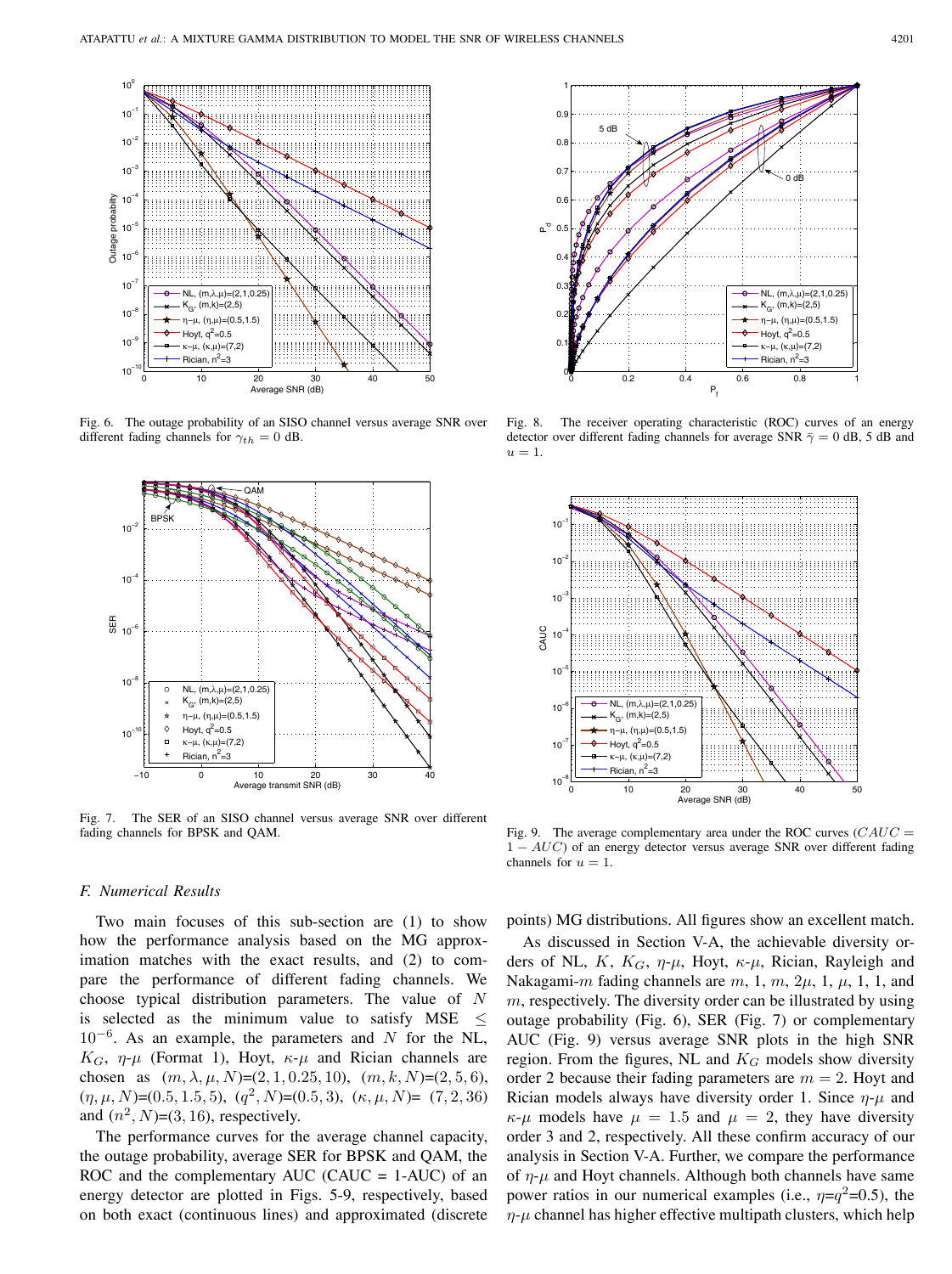

Fig. 6. The outage probability of an SISO channel versus average SNR over different fading channels for  $\gamma_{th} = 0$  dB.



Fig. 7. The SER of an SISO channel versus average SNR over different fading channels for BPSK and QAM.

## *F. Numerical Results*

Two main focuses of this sub-section are (1) to show how the performance analysis based on the MG approximation matches with the exact results, and (2) to compare the performance of different fading channels. We choose typical distribution parameters. The value of  $N$ is selected as the minimum value to satisfy MSE  $\leq$  $10^{-6}$ . As an example, the parameters and N for the NL,  $K_G$ ,  $\eta$ - $\mu$  (Format 1), Hoyt,  $\kappa$ - $\mu$  and Rician channels are chosen as  $(m, \lambda, \mu, N)=(2, 1, 0.25, 10), (m, k, N)=(2, 5, 6),$  $(\eta, \mu, N)=(0.5, 1.5, 5), (q^2, N)=(0.5, 3), (\kappa, \mu, N)=(7, 2, 36)$ and  $(n^2, N)=(3, 16)$ , respectively.

The performance curves for the average channel capacity, the outage probability, average SER for BPSK and QAM, the ROC and the complementary AUC (CAUC =  $1-AUC$ ) of an energy detector are plotted in Figs. 5-9, respectively, based on both exact (continuous lines) and approximated (discrete



Fig. 8. The receiver operating characteristic (ROC) curves of an energy detector over different fading channels for average SNR  $\bar{\gamma} = 0$  dB, 5 dB and  $u = 1$ .



Fig. 9. The average complementary area under the ROC curves  $(CAUC =$  $1 - AUC$ ) of an energy detector versus average SNR over different fading channels for  $u = 1$ .

points) MG distributions. All figures show an excellent match.

As discussed in Section V-A, the achievable diversity orders of NL,  $K$ ,  $K_G$ ,  $\eta$ - $\mu$ , Hoyt,  $\kappa$ - $\mu$ , Rician, Rayleigh and Nakagami-m fading channels are  $m$ , 1,  $m$ ,  $2\mu$ , 1,  $\mu$ , 1, 1, and  $m$ , respectively. The diversity order can be illustrated by using outage probability (Fig. 6), SER (Fig. 7) or complementary AUC (Fig. 9) versus average SNR plots in the high SNR region. From the figures, NL and  $K_G$  models show diversity order 2 because their fading parameters are  $m = 2$ . Hoyt and Rician models always have diversity order 1. Since  $\eta$ - $\mu$  and  $\kappa$ - $\mu$  models have  $\mu = 1.5$  and  $\mu = 2$ , they have diversity order 3 and 2, respectively. All these confirm accuracy of our analysis in Section V-A. Further, we compare the performance of  $\eta$ - $\mu$  and Hoyt channels. Although both channels have same power ratios in our numerical examples (i.e.,  $\eta = q^2 = 0.5$ ), the  $\eta$ - $\mu$  channel has higher effective multipath clusters, which help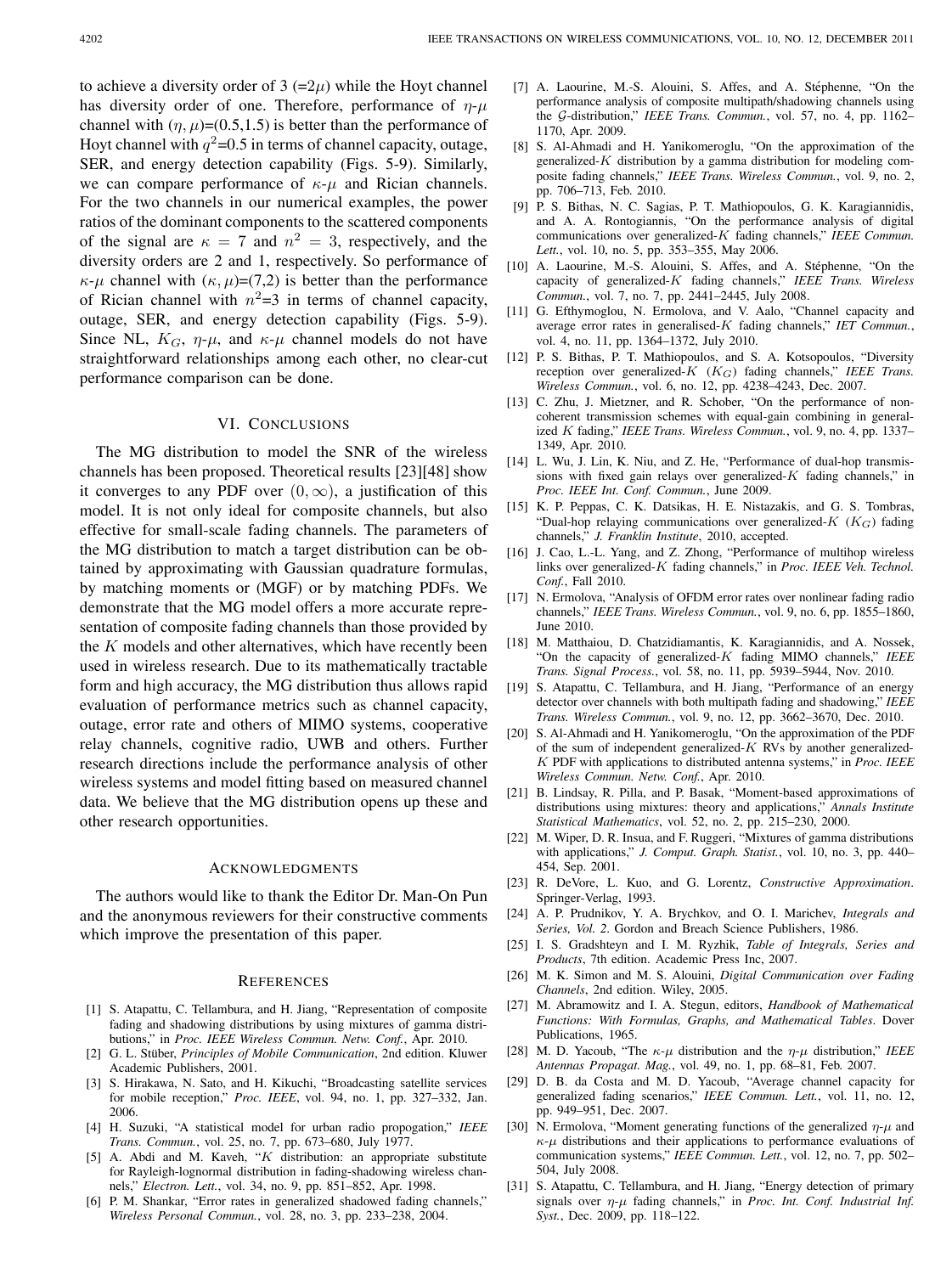to achieve a diversity order of 3  $(=2\mu)$  while the Hoyt channel has diversity order of one. Therefore, performance of  $\eta$ - $\mu$ channel with  $(\eta, \mu)$ =(0.5,1.5) is better than the performance of Hoyt channel with  $q^2$ =0.5 in terms of channel capacity, outage, SER, and energy detection capability (Figs. 5-9). Similarly, we can compare performance of  $\kappa$ - $\mu$  and Rician channels. For the two channels in our numerical examples, the power ratios of the dominant components to the scattered components of the signal are  $\kappa = 7$  and  $n^2 = 3$ , respectively, and the diversity orders are 2 and 1, respectively. So performance of  $\kappa$ - $\mu$  channel with  $(\kappa, \mu)$ =(7,2) is better than the performance of Rician channel with  $n^2=3$  in terms of channel capacity, outage, SER, and energy detection capability (Figs. 5-9). Since NL,  $K_G$ ,  $\eta$ - $\mu$ , and  $\kappa$ - $\mu$  channel models do not have straightforward relationships among each other, no clear-cut performance comparison can be done.

## VI. CONCLUSIONS

The MG distribution to model the SNR of the wireless channels has been proposed. Theoretical results [23][48] show it converges to any PDF over  $(0, \infty)$ , a justification of this model. It is not only ideal for composite channels, but also effective for small-scale fading channels. The parameters of the MG distribution to match a target distribution can be obtained by approximating with Gaussian quadrature formulas, by matching moments or (MGF) or by matching PDFs. We demonstrate that the MG model offers a more accurate representation of composite fading channels than those provided by the  $K$  models and other alternatives, which have recently been used in wireless research. Due to its mathematically tractable form and high accuracy, the MG distribution thus allows rapid evaluation of performance metrics such as channel capacity, outage, error rate and others of MIMO systems, cooperative relay channels, cognitive radio, UWB and others. Further research directions include the performance analysis of other wireless systems and model fitting based on measured channel data. We believe that the MG distribution opens up these and other research opportunities.

#### ACKNOWLEDGMENTS

The authors would like to thank the Editor Dr. Man-On Pun and the anonymous reviewers for their constructive comments which improve the presentation of this paper.

#### **REFERENCES**

- [1] S. Atapattu, C. Tellambura, and H. Jiang, "Representation of composite fading and shadowing distributions by using mixtures of gamma distributions," in *Proc. IEEE Wireless Commun. Netw. Conf.*, Apr. 2010.
- [2] G. L. Stüber, *Principles of Mobile Communication*, 2nd edition. Kluwer Academic Publishers, 2001.
- [3] S. Hirakawa, N. Sato, and H. Kikuchi, "Broadcasting satellite services for mobile reception," *Proc. IEEE*, vol. 94, no. 1, pp. 327–332, Jan. 2006.
- [4] H. Suzuki, "A statistical model for urban radio propogation," *IEEE Trans. Commun.*, vol. 25, no. 7, pp. 673–680, July 1977.
- [5] A. Abdi and M. Kaveh, " $K$  distribution: an appropriate substitute for Rayleigh-lognormal distribution in fading-shadowing wireless channels," *Electron. Lett.*, vol. 34, no. 9, pp. 851–852, Apr. 1998.
- [6] P. M. Shankar, "Error rates in generalized shadowed fading channels," *Wireless Personal Commun.*, vol. 28, no. 3, pp. 233–238, 2004.
- [7] A. Laourine, M.-S. Alouini, S. Affes, and A. Stéphenne, "On the performance analysis of composite multipath/shadowing channels using the G-distribution," IEEE Trans. Commun., vol. 57, no. 4, pp. 1162-1170, Apr. 2009.
- [8] S. Al-Ahmadi and H. Yanikomeroglu, "On the approximation of the generalized- $K$  distribution by a gamma distribution for modeling composite fading channels," *IEEE Trans. Wireless Commun.*, vol. 9, no. 2, pp. 706–713, Feb. 2010.
- [9] P. S. Bithas, N. C. Sagias, P. T. Mathiopoulos, G. K. Karagiannidis, and A. A. Rontogiannis, "On the performance analysis of digital communications over generalized-K fading channels," IEEE Commun. *Lett.*, vol. 10, no. 5, pp. 353–355, May 2006.
- [10] A. Laourine, M.-S. Alouini, S. Affes, and A. Stéphenne, "On the capacity of generalized-K fading channels," IEEE Trans. Wireless *Commun.*, vol. 7, no. 7, pp. 2441–2445, July 2008.
- [11] G. Efthymoglou, N. Ermolova, and V. Aalo, "Channel capacity and average error rates in generalised-K fading channels," IET Commun., vol. 4, no. 11, pp. 1364–1372, July 2010.
- [12] P. S. Bithas, P. T. Mathiopoulos, and S. A. Kotsopoulos, "Diversity reception over generalized- $K$   $(K_G)$  fading channels," *IEEE Trans. Wireless Commun.*, vol. 6, no. 12, pp. 4238–4243, Dec. 2007.
- [13] C. Zhu, J. Mietzner, and R. Schober, "On the performance of noncoherent transmission schemes with equal-gain combining in generalized *K* fading," *IEEE Trans. Wireless Commun.*, vol. 9, no. 4, pp. 1337-1349, Apr. 2010.
- [14] L. Wu, J. Lin, K. Niu, and Z. He, "Performance of dual-hop transmissions with fixed gain relays over generalized- $K$  fading channels," in *Proc. IEEE Int. Conf. Commun.*, June 2009.
- [15] K. P. Peppas, C. K. Datsikas, H. E. Nistazakis, and G. S. Tombras, "Dual-hop relaying communications over generalized- $K$  ( $K_G$ ) fading channels," *J. Franklin Institute*, 2010, accepted.
- [16] J. Cao, L.-L. Yang, and Z. Zhong, "Performance of multihop wireless links over generalized-K fading channels," in *Proc. IEEE Veh. Technol. Conf.*, Fall 2010.
- [17] N. Ermolova, "Analysis of OFDM error rates over nonlinear fading radio channels," *IEEE Trans. Wireless Commun.*, vol. 9, no. 6, pp. 1855–1860, June 2010.
- [18] M. Matthaiou, D. Chatzidiamantis, K. Karagiannidis, and A. Nossek, "On the capacity of generalized-K fading MIMO channels," *IEEE Trans. Signal Process.*, vol. 58, no. 11, pp. 5939–5944, Nov. 2010.
- [19] S. Atapattu, C. Tellambura, and H. Jiang, "Performance of an energy detector over channels with both multipath fading and shadowing," *IEEE Trans. Wireless Commun.*, vol. 9, no. 12, pp. 3662–3670, Dec. 2010.
- [20] S. Al-Ahmadi and H. Yanikomeroglu, "On the approximation of the PDF of the sum of independent generalized- $K$  RVs by another generalized- PDF with applications to distributed antenna systems," in *Proc. IEEE Wireless Commun. Netw. Conf.*, Apr. 2010.
- [21] B. Lindsay, R. Pilla, and P. Basak, "Moment-based approximations of distributions using mixtures: theory and applications," *Annals Institute Statistical Mathematics*, vol. 52, no. 2, pp. 215–230, 2000.
- [22] M. Wiper, D. R. Insua, and F. Ruggeri, "Mixtures of gamma distributions with applications," *J. Comput. Graph. Statist.*, vol. 10, no. 3, pp. 440– 454, Sep. 2001.
- [23] R. DeVore, L. Kuo, and G. Lorentz, *Constructive Approximation*. Springer-Verlag, 1993.
- [24] A. P. Prudnikov, Y. A. Brychkov, and O. I. Marichev, *Integrals and Series, Vol. 2*. Gordon and Breach Science Publishers, 1986.
- [25] I. S. Gradshteyn and I. M. Ryzhik, *Table of Integrals, Series and Products*, 7th edition. Academic Press Inc, 2007.
- [26] M. K. Simon and M. S. Alouini, *Digital Communication over Fading Channels*, 2nd edition. Wiley, 2005.
- [27] M. Abramowitz and I. A. Stegun, editors, *Handbook of Mathematical Functions: With Formulas, Graphs, and Mathematical Tables*. Dover Publications, 1965.
- [28] M. D. Yacoub, "The  $\kappa$ - $\mu$  distribution and the  $\eta$ - $\mu$  distribution," *IEEE Antennas Propagat. Mag.*, vol. 49, no. 1, pp. 68–81, Feb. 2007.
- [29] D. B. da Costa and M. D. Yacoub, "Average channel capacity for generalized fading scenarios," *IEEE Commun. Lett.*, vol. 11, no. 12, pp. 949–951, Dec. 2007.
- [30] N. Ermolova, "Moment generating functions of the generalized  $\eta$ - $\mu$  and  $\kappa$ - $\mu$  distributions and their applications to performance evaluations of communication systems," *IEEE Commun. Lett.*, vol. 12, no. 7, pp. 502– 504, July 2008.
- [31] S. Atapattu, C. Tellambura, and H. Jiang, "Energy detection of primary signals over  $\eta$ - $\mu$  fading channels," in *Proc. Int. Conf. Industrial Inf. Syst.*, Dec. 2009, pp. 118–122.